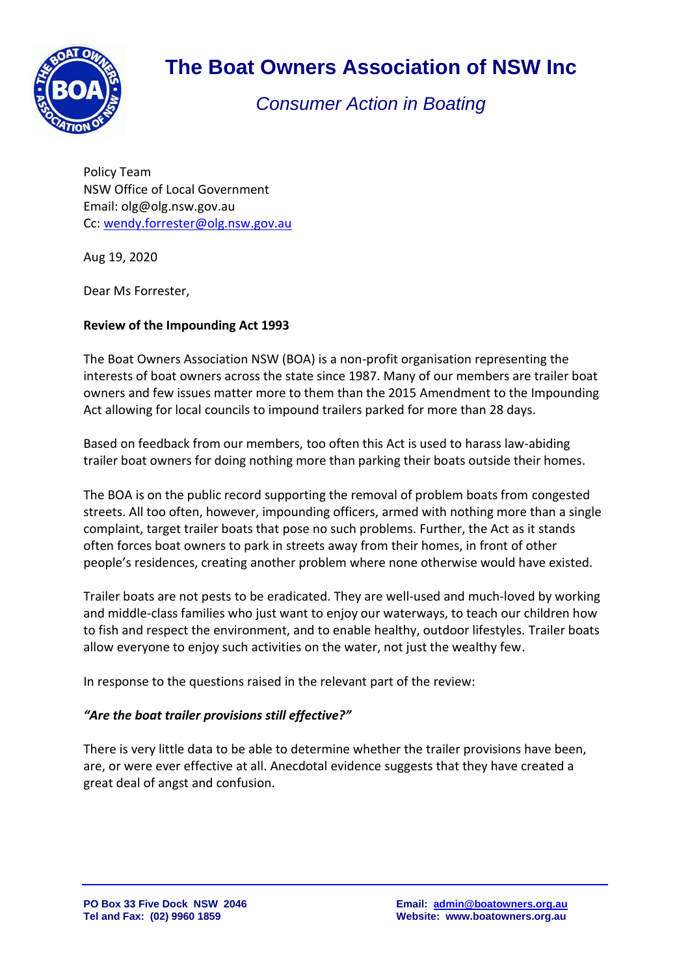

# **The Boat Owners Association of NSW Inc**

## *Consumer Action in Boating*

Policy Team NSW Office of Local Government Email: olg@olg.nsw.gov.au Cc: [wendy.forrester@olg.nsw.gov.au](mailto:wendy.forrester@olg.nsw.gov.au)

Aug 19, 2020

Dear Ms Forrester,

#### **Review of the Impounding Act 1993**

The Boat Owners Association NSW (BOA) is a non-profit organisation representing the interests of boat owners across the state since 1987. Many of our members are trailer boat owners and few issues matter more to them than the 2015 Amendment to the Impounding Act allowing for local councils to impound trailers parked for more than 28 days.

Based on feedback from our members, too often this Act is used to harass law-abiding trailer boat owners for doing nothing more than parking their boats outside their homes.

The BOA is on the public record supporting the removal of problem boats from congested streets. All too often, however, impounding officers, armed with nothing more than a single complaint, target trailer boats that pose no such problems. Further, the Act as it stands often forces boat owners to park in streets away from their homes, in front of other people's residences, creating another problem where none otherwise would have existed.

Trailer boats are not pests to be eradicated. They are well-used and much-loved by working and middle-class families who just want to enjoy our waterways, to teach our children how to fish and respect the environment, and to enable healthy, outdoor lifestyles. Trailer boats allow everyone to enjoy such activities on the water, not just the wealthy few.

In response to the questions raised in the relevant part of the review:

#### *"Are the boat trailer provisions still effective?"*

There is very little data to be able to determine whether the trailer provisions have been, are, or were ever effective at all. Anecdotal evidence suggests that they have created a great deal of angst and confusion.